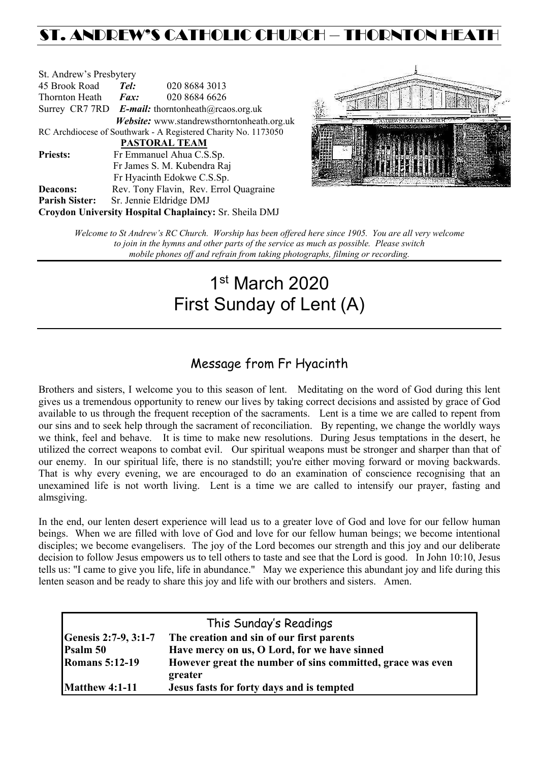## ST. ANDREW'S CATHOLIC CHURCH – THORNTON HEAT

| St. Andrew's Presbytery |                                                          |                                                                |  |
|-------------------------|----------------------------------------------------------|----------------------------------------------------------------|--|
| 45 Brook Road           | Tel:                                                     | 020 8684 3013                                                  |  |
| Thornton Heath          | $\boldsymbol{Fax:}$                                      | 020 8684 6626                                                  |  |
|                         | Surrey CR7 7RD <b>E-mail:</b> thorntonheath@rcaos.org.uk |                                                                |  |
|                         |                                                          | Website: www.standrewsthorntonheath.org.uk                     |  |
|                         |                                                          | RC Archdiocese of Southwark - A Registered Charity No. 1173050 |  |
|                         |                                                          | <b>PASTORAL TEAM</b>                                           |  |
| <b>Priests:</b>         |                                                          | Fr Emmanuel Ahua C.S.Sp.                                       |  |
|                         |                                                          | Fr James S. M. Kubendra Raj                                    |  |
|                         |                                                          | Fr Hyacinth Edokwe C.S.Sp.                                     |  |
| <b>Deacons:</b>         |                                                          | Rev. Tony Flavin, Rev. Errol Quagraine                         |  |
| <b>Parish Sister:</b>   |                                                          | Sr. Jennie Eldridge DMJ                                        |  |
|                         |                                                          | Croydon University Hospital Chaplaincy: Sr. Sheila DMJ         |  |



*Welcome to St Andrew's RC Church. Worship has been offered here since 1905. You are all very welcome to join in the hymns and other parts of the service as much as possible. Please switch mobile phones off and refrain from taking photographs, filming or recording.*

# 1st March 2020 First Sunday of Lent (A)

### Message from Fr Hyacinth

Brothers and sisters, I welcome you to this season of lent. Meditating on the word of God during this lent gives us a tremendous opportunity to renew our lives by taking correct decisions and assisted by grace of God available to us through the frequent reception of the sacraments. Lent is a time we are called to repent from our sins and to seek help through the sacrament of reconciliation. By repenting, we change the worldly ways we think, feel and behave. It is time to make new resolutions. During Jesus temptations in the desert, he utilized the correct weapons to combat evil. Our spiritual weapons must be stronger and sharper than that of our enemy. In our spiritual life, there is no standstill; you're either moving forward or moving backwards. That is why every evening, we are encouraged to do an examination of conscience recognising that an unexamined life is not worth living. Lent is a time we are called to intensify our prayer, fasting and almsgiving.

In the end, our lenten desert experience will lead us to a greater love of God and love for our fellow human beings. When we are filled with love of God and love for our fellow human beings; we become intentional disciples; we become evangelisers. The joy of the Lord becomes our strength and this joy and our deliberate decision to follow Jesus empowers us to tell others to taste and see that the Lord is good. In John 10:10, Jesus tells us: "I came to give you life, life in abundance." May we experience this abundant joy and life during this lenten season and be ready to share this joy and life with our brothers and sisters. Amen.

|                       | This Sunday's Readings                                                |
|-----------------------|-----------------------------------------------------------------------|
| Genesis 2:7-9, 3:1-7  | The creation and sin of our first parents                             |
| Psalm 50              | Have mercy on us, O Lord, for we have sinned                          |
| <b>Romans 5:12-19</b> | However great the number of sins committed, grace was even<br>greater |
| <b>Matthew 4:1-11</b> | Jesus fasts for forty days and is tempted                             |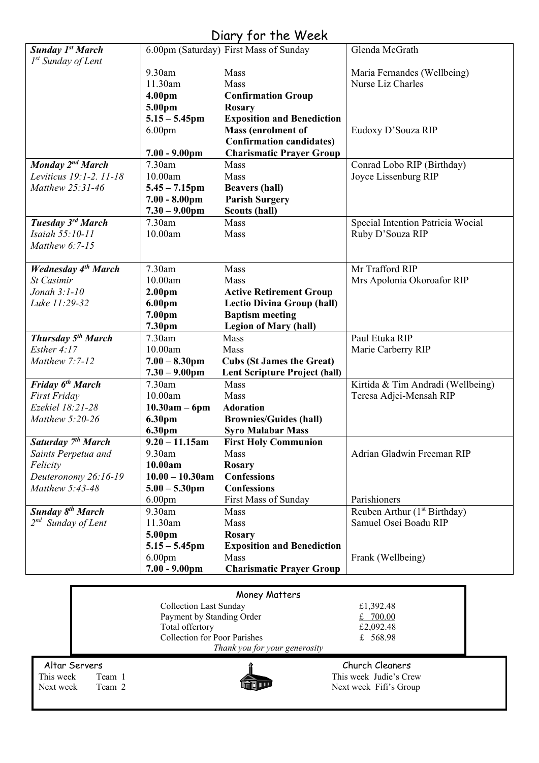### Diary for the Week

| <b>Sunday 1st March</b>                               |                             | 6.00pm (Saturday) First Mass of Sunday             | Glenda McGrath                                                    |
|-------------------------------------------------------|-----------------------------|----------------------------------------------------|-------------------------------------------------------------------|
| $I^{st}$ Sunday of Lent                               |                             |                                                    |                                                                   |
|                                                       | 9.30am                      | Mass                                               | Maria Fernandes (Wellbeing)                                       |
|                                                       | 11.30am                     | Mass                                               | Nurse Liz Charles                                                 |
|                                                       | 4.00 <sub>pm</sub>          | <b>Confirmation Group</b>                          |                                                                   |
|                                                       | 5.00pm                      | <b>Rosary</b>                                      |                                                                   |
|                                                       | $5.15 - 5.45$ pm            | <b>Exposition and Benediction</b>                  |                                                                   |
|                                                       | 6.00 <sub>pm</sub>          | Mass (enrolment of                                 | Eudoxy D'Souza RIP                                                |
|                                                       |                             | <b>Confirmation candidates)</b>                    |                                                                   |
|                                                       | $7.00 - 9.00$ pm            | <b>Charismatic Prayer Group</b>                    |                                                                   |
| <b>Monday</b> 2 <sup>nd</sup> March                   | 7.30am                      | Mass                                               | Conrad Lobo RIP (Birthday)                                        |
| Leviticus 19:1-2. 11-18                               | 10.00am                     | Mass                                               | Joyce Lissenburg RIP                                              |
| Matthew 25:31-46                                      | $5.45 - 7.15$ pm            | <b>Beavers (hall)</b>                              |                                                                   |
|                                                       | $7.00 - 8.00 \text{pm}$     | <b>Parish Surgery</b>                              |                                                                   |
|                                                       | $7.30 - 9.00$ pm            | <b>Scouts (hall)</b>                               |                                                                   |
| Tuesday 3rd March                                     | 7.30am                      | Mass                                               | Special Intention Patricia Wocial                                 |
| Isaiah 55:10-11                                       | 10.00am                     | Mass                                               | Ruby D'Souza RIP                                                  |
| Matthew 6:7-15                                        |                             |                                                    |                                                                   |
|                                                       |                             |                                                    |                                                                   |
| <b>Wednesday 4th March</b>                            | 7.30am                      | Mass                                               | Mr Trafford RIP                                                   |
| St Casimir                                            | 10.00am                     | Mass                                               | Mrs Apolonia Okoroafor RIP                                        |
| Jonah $3:1-10$                                        | 2.00 <sub>pm</sub>          | <b>Active Retirement Group</b>                     |                                                                   |
| Luke 11:29-32                                         | 6.00pm                      | <b>Lectio Divina Group (hall)</b>                  |                                                                   |
|                                                       | 7.00pm                      | <b>Baptism meeting</b>                             |                                                                   |
|                                                       | 7.30pm                      | <b>Legion of Mary (hall)</b>                       |                                                                   |
| <b>Thursday 5th March</b>                             | 7.30am                      | Mass                                               | Paul Etuka RIP                                                    |
| Esther $4:17$                                         | 10.00am                     | Mass                                               | Marie Carberry RIP                                                |
| Matthew 7:7-12                                        | $7.00 - 8.30$ pm            | <b>Cubs (St James the Great)</b>                   |                                                                   |
|                                                       | $7.30 - 9.00$ pm            | <b>Lent Scripture Project (hall)</b>               |                                                                   |
| Friday 6 <sup>th</sup> March                          | 7.30am                      | Mass                                               | Kirtida & Tim Andradi (Wellbeing)                                 |
| First Friday                                          | 10.00am                     | Mass                                               | Teresa Adjei-Mensah RIP                                           |
| Ezekiel 18:21-28                                      | $10.30am - 6pm$             | <b>Adoration</b>                                   |                                                                   |
| Matthew 5:20-26                                       | 6.30pm                      | <b>Brownies/Guides (hall)</b>                      |                                                                   |
|                                                       | 6.30pm                      | <b>Syro Malabar Mass</b>                           |                                                                   |
| Saturday 7 <sup>th</sup> March<br>Saints Perpetua and | $9.20 - 11.15$ am<br>9.30am | <b>First Holy Communion</b><br>Mass                | Adrian Gladwin Freeman RIP                                        |
|                                                       | 10.00am                     |                                                    |                                                                   |
| Felicity<br>Deuteronomy 26:16-19                      | $10.00 - 10.30$ am          | <b>Rosary</b><br><b>Confessions</b>                |                                                                   |
| Matthew 5:43-48                                       |                             | <b>Confessions</b>                                 |                                                                   |
|                                                       | $5.00 - 5.30$ pm            | First Mass of Sunday                               | Parishioners                                                      |
| <b>Sunday 8th March</b>                               | 6.00 <sub>pm</sub>          |                                                    |                                                                   |
|                                                       | 9.30am<br>11.30am           | Mass                                               | Reuben Arthur (1 <sup>st</sup> Birthday)<br>Samuel Osei Boadu RIP |
| 2 <sup>nd</sup> Sunday of Lent                        |                             | Mass                                               |                                                                   |
|                                                       | 5.00pm<br>$5.15 - 5.45$ pm  | <b>Rosary</b><br><b>Exposition and Benediction</b> |                                                                   |
|                                                       | 6.00 <sub>pm</sub>          | Mass                                               | Frank (Wellbeing)                                                 |
|                                                       | $7.00 - 9.00$ pm            | <b>Charismatic Prayer Group</b>                    |                                                                   |
|                                                       |                             |                                                    |                                                                   |
|                                                       |                             |                                                    |                                                                   |

| Money Matters |                                     |                               |                        |  |
|---------------|-------------------------------------|-------------------------------|------------------------|--|
|               |                                     | <b>Collection Last Sunday</b> | £1,392.48              |  |
|               | Payment by Standing Order           |                               | £ $700.00$             |  |
|               |                                     | Total offertory               | £2,092.48              |  |
|               | <b>Collection for Poor Parishes</b> |                               | £ $568.98$             |  |
|               |                                     | Thank you for your generosity |                        |  |
| Altar Servers |                                     |                               | Church Cleaners        |  |
| This week     | Team 1                              |                               | This week Judie's Crew |  |
| Next week     | Team 2                              |                               | Next week Fifi's Group |  |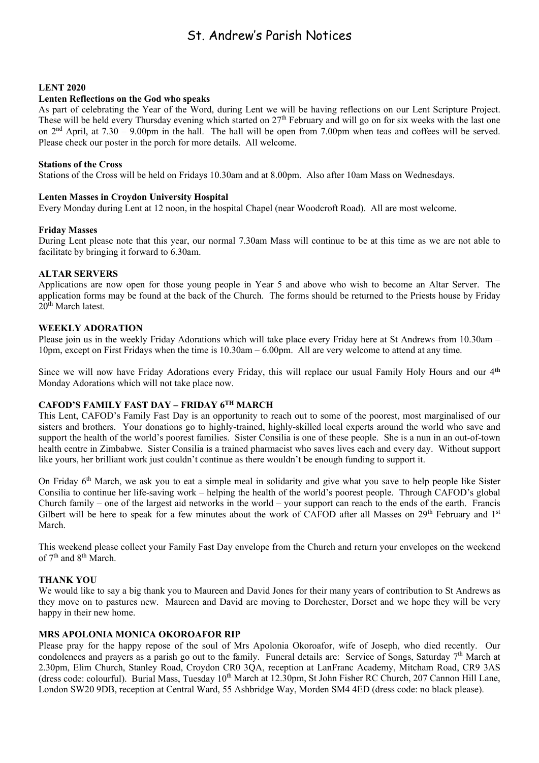### St. Andrew's Parish Notices

#### **LENT 2020**

#### **Lenten Reflections on the God who speaks**

As part of celebrating the Year of the Word, during Lent we will be having reflections on our Lent Scripture Project. These will be held every Thursday evening which started on  $27<sup>th</sup>$  February and will go on for six weeks with the last one on 2nd April, at 7.30 – 9.00pm in the hall. The hall will be open from 7.00pm when teas and coffees will be served. Please check our poster in the porch for more details. All welcome.

#### **Stations of the Cross**

Stations of the Cross will be held on Fridays 10.30am and at 8.00pm. Also after 10am Mass on Wednesdays.

#### **Lenten Masses in Croydon University Hospital**

Every Monday during Lent at 12 noon, in the hospital Chapel (near Woodcroft Road). All are most welcome.

#### **Friday Masses**

During Lent please note that this year, our normal 7.30am Mass will continue to be at this time as we are not able to facilitate by bringing it forward to 6.30am.

#### **ALTAR SERVERS**

Applications are now open for those young people in Year 5 and above who wish to become an Altar Server. The application forms may be found at the back of the Church. The forms should be returned to the Priests house by Friday 20<sup>th</sup> March latest.

#### **WEEKLY ADORATION**

Please join us in the weekly Friday Adorations which will take place every Friday here at St Andrews from 10.30am – 10pm, except on First Fridays when the time is 10.30am – 6.00pm. All are very welcome to attend at any time.

Since we will now have Friday Adorations every Friday, this will replace our usual Family Holy Hours and our 4**th** Monday Adorations which will not take place now.

#### **CAFOD'S FAMILY FAST DAY – FRIDAY 6TH MARCH**

This Lent, CAFOD's Family Fast Day is an opportunity to reach out to some of the poorest, most marginalised of our sisters and brothers. Your donations go to highly-trained, highly-skilled local experts around the world who save and support the health of the world's poorest families. Sister Consilia is one of these people. She is a nun in an out-of-town health centre in Zimbabwe. Sister Consilia is a trained pharmacist who saves lives each and every day. Without support like yours, her brilliant work just couldn't continue as there wouldn't be enough funding to support it.

On Friday 6<sup>th</sup> March, we ask you to eat a simple meal in solidarity and give what you save to help people like Sister Consilia to continue her life-saving work – helping the health of the world's poorest people. Through CAFOD's global Church family – one of the largest aid networks in the world – your support can reach to the ends of the earth. Francis Gilbert will be here to speak for a few minutes about the work of CAFOD after all Masses on 29<sup>th</sup> February and 1<sup>st</sup> March.

This weekend please collect your Family Fast Day envelope from the Church and return your envelopes on the weekend of  $7<sup>th</sup>$  and  $8<sup>th</sup>$  March.

#### **THANK YOU**

We would like to say a big thank you to Maureen and David Jones for their many years of contribution to St Andrews as they move on to pastures new. Maureen and David are moving to Dorchester, Dorset and we hope they will be very happy in their new home.

#### **MRS APOLONIA MONICA OKOROAFOR RIP**

Please pray for the happy repose of the soul of Mrs Apolonia Okoroafor, wife of Joseph, who died recently. Our condolences and prayers as a parish go out to the family. Funeral details are: Service of Songs, Saturday  $7<sup>th</sup>$  March at 2.30pm, Elim Church, Stanley Road, Croydon CR0 3QA, reception at LanFranc Academy, Mitcham Road, CR9 3AS (dress code: colourful). Burial Mass, Tuesday 10<sup>th</sup> March at 12.30pm, St John Fisher RC Church, 207 Cannon Hill Lane, London SW20 9DB, reception at Central Ward, 55 Ashbridge Way, Morden SM4 4ED (dress code: no black please).